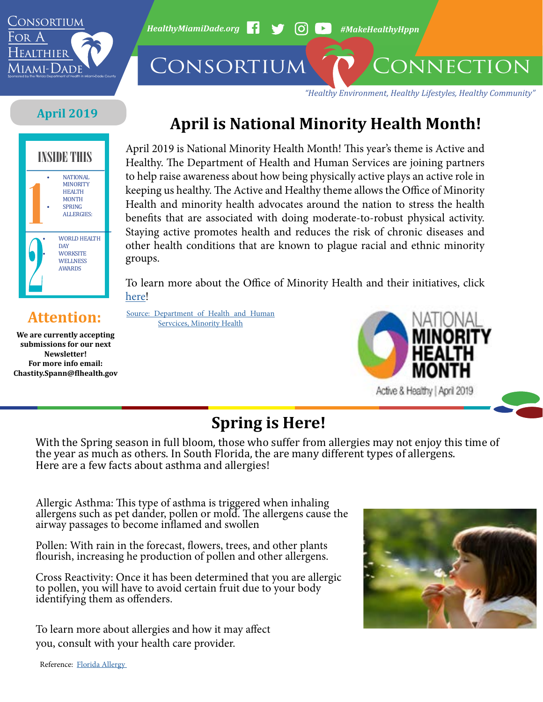

*HealthyMiamiDade.org* <sup>1</sup> → 60 → #MakeHealthyHppn

CONSORTIUM CONNECTION

*"Healthy Environment, Healthy Lifestyles, Healthy Community"*

## **April 2019**



# **April is National Minority Health Month!**

April 2019 is National Minority Health Month! This year's theme is Active and Healthy. The Department of Health and Human Services are joining partners to help raise awareness about how being physically active plays an active role in keeping us healthy. The Active and Healthy theme allows the Office of Minority Health and minority health advocates around the nation to stress the health benefits that are associated with doing moderate-to-robust physical activity. Staying active promotes health and reduces the risk of chronic diseases and other health conditions that are known to plague racial and ethnic minority groups.

To learn more about the Office of Minority Health and their initiatives, click [here](https://www.minorityhealth.hhs.gov/omh/browse.aspx?lvl=1&lvlid=1)!

**We are currently accepting submissions for our next Newsletter! For more info email: Chastity.Spann@flhealth.gov**

**Attention:** [Source: Department of Health and Human](https://www.minorityhealth.hhs.gov/omh/Content.aspx?ID=12481&lvl=2&lvlid=12 ) **Attention:** [Servcices, Minority Health](https://www.minorityhealth.hhs.gov/omh/Content.aspx?ID=12481&lvl=2&lvlid=12 )



## **Spring is Here!**

With the Spring season in full bloom, those who suffer from allergies may not enjoy this time of the year as much as others. In South Florida, the are many different types of allergens. Here are a few facts about asthma and allergies!

Allergic Asthma: This type of asthma is triggered when inhaling allergens such as pet dander, pollen or mold. The allergens cause the airway passages to become inflamed and swollen

Pollen: With rain in the forecast, flowers, trees, and other plants flourish, increasing he production of pollen and other allergens.

Cross Reactivity: Once it has been determined that you are allergic to pollen, you will have to avoid certain fruit due to your body identifying them as offenders.

To learn more about allergies and how it may affect you, consult with your health care provider.



Reference: [Florida Allergy](http://florida-allergy.com/2019/03/01/spring-allergies-south-florida/ )